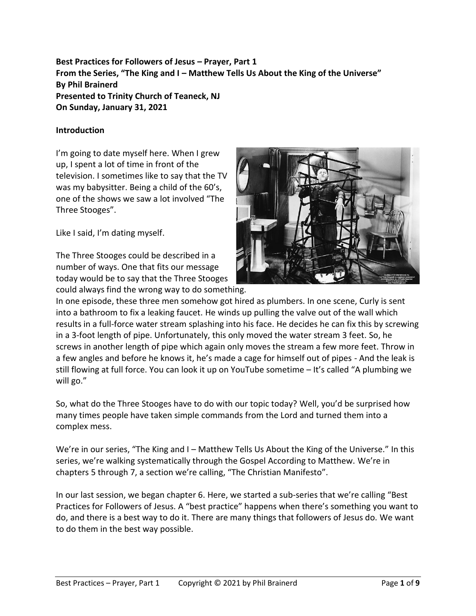**Best Practices for Followers of Jesus – Prayer, Part 1 From the Series, "The King and I – Matthew Tells Us About the King of the Universe" By Phil Brainerd Presented to Trinity Church of Teaneck, NJ On Sunday, January 31, 2021**

### **Introduction**

I'm going to date myself here. When I grew up, I spent a lot of time in front of the television. I sometimes like to say that the TV was my babysitter. Being a child of the 60's, one of the shows we saw a lot involved "The Three Stooges".

Like I said, I'm dating myself.

The Three Stooges could be described in a number of ways. One that fits our message today would be to say that the Three Stooges could always find the wrong way to do something.



In one episode, these three men somehow got hired as plumbers. In one scene, Curly is sent into a bathroom to fix a leaking faucet. He winds up pulling the valve out of the wall which results in a full-force water stream splashing into his face. He decides he can fix this by screwing in a 3-foot length of pipe. Unfortunately, this only moved the water stream 3 feet. So, he screws in another length of pipe which again only moves the stream a few more feet. Throw in a few angles and before he knows it, he's made a cage for himself out of pipes - And the leak is still flowing at full force. You can look it up on YouTube sometime – It's called "A plumbing we will go."

So, what do the Three Stooges have to do with our topic today? Well, you'd be surprised how many times people have taken simple commands from the Lord and turned them into a complex mess.

We're in our series, "The King and I – Matthew Tells Us About the King of the Universe." In this series, we're walking systematically through the Gospel According to Matthew. We're in chapters 5 through 7, a section we're calling, "The Christian Manifesto".

In our last session, we began chapter 6. Here, we started a sub-series that we're calling "Best Practices for Followers of Jesus. A "best practice" happens when there's something you want to do, and there is a best way to do it. There are many things that followers of Jesus do. We want to do them in the best way possible.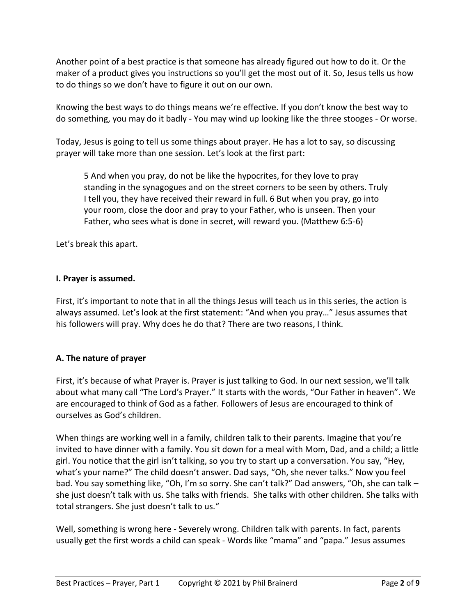Another point of a best practice is that someone has already figured out how to do it. Or the maker of a product gives you instructions so you'll get the most out of it. So, Jesus tells us how to do things so we don't have to figure it out on our own.

Knowing the best ways to do things means we're effective. If you don't know the best way to do something, you may do it badly - You may wind up looking like the three stooges - Or worse.

Today, Jesus is going to tell us some things about prayer. He has a lot to say, so discussing prayer will take more than one session. Let's look at the first part:

5 And when you pray, do not be like the hypocrites, for they love to pray standing in the synagogues and on the street corners to be seen by others. Truly I tell you, they have received their reward in full. 6 But when you pray, go into your room, close the door and pray to your Father, who is unseen. Then your Father, who sees what is done in secret, will reward you. (Matthew 6:5-6)

Let's break this apart.

## **I. Prayer is assumed.**

First, it's important to note that in all the things Jesus will teach us in this series, the action is always assumed. Let's look at the first statement: "And when you pray…" Jesus assumes that his followers will pray. Why does he do that? There are two reasons, I think.

# **A. The nature of prayer**

First, it's because of what Prayer is. Prayer is just talking to God. In our next session, we'll talk about what many call "The Lord's Prayer." It starts with the words, "Our Father in heaven". We are encouraged to think of God as a father. Followers of Jesus are encouraged to think of ourselves as God's children.

When things are working well in a family, children talk to their parents. Imagine that you're invited to have dinner with a family. You sit down for a meal with Mom, Dad, and a child; a little girl. You notice that the girl isn't talking, so you try to start up a conversation. You say, "Hey, what's your name?" The child doesn't answer. Dad says, "Oh, she never talks." Now you feel bad. You say something like, "Oh, I'm so sorry. She can't talk?" Dad answers, "Oh, she can talk – she just doesn't talk with us. She talks with friends. She talks with other children. She talks with total strangers. She just doesn't talk to us."

Well, something is wrong here - Severely wrong. Children talk with parents. In fact, parents usually get the first words a child can speak - Words like "mama" and "papa." Jesus assumes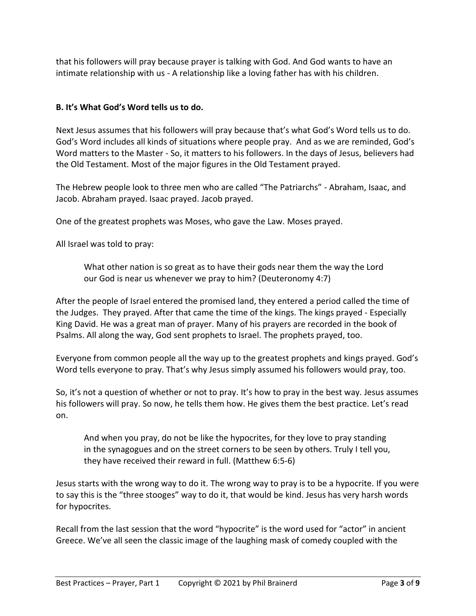that his followers will pray because prayer is talking with God. And God wants to have an intimate relationship with us - A relationship like a loving father has with his children.

### **B. It's What God's Word tells us to do.**

Next Jesus assumes that his followers will pray because that's what God's Word tells us to do. God's Word includes all kinds of situations where people pray. And as we are reminded, God's Word matters to the Master - So, it matters to his followers. In the days of Jesus, believers had the Old Testament. Most of the major figures in the Old Testament prayed.

The Hebrew people look to three men who are called "The Patriarchs" - Abraham, Isaac, and Jacob. Abraham prayed. Isaac prayed. Jacob prayed.

One of the greatest prophets was Moses, who gave the Law. Moses prayed.

All Israel was told to pray:

What other nation is so great as to have their gods near them the way the Lord our God is near us whenever we pray to him? (Deuteronomy 4:7)

After the people of Israel entered the promised land, they entered a period called the time of the Judges. They prayed. After that came the time of the kings. The kings prayed - Especially King David. He was a great man of prayer. Many of his prayers are recorded in the book of Psalms. All along the way, God sent prophets to Israel. The prophets prayed, too.

Everyone from common people all the way up to the greatest prophets and kings prayed. God's Word tells everyone to pray. That's why Jesus simply assumed his followers would pray, too.

So, it's not a question of whether or not to pray. It's how to pray in the best way. Jesus assumes his followers will pray. So now, he tells them how. He gives them the best practice. Let's read on.

And when you pray, do not be like the hypocrites, for they love to pray standing in the synagogues and on the street corners to be seen by others. Truly I tell you, they have received their reward in full. (Matthew 6:5-6)

Jesus starts with the wrong way to do it. The wrong way to pray is to be a hypocrite. If you were to say this is the "three stooges" way to do it, that would be kind. Jesus has very harsh words for hypocrites.

Recall from the last session that the word "hypocrite" is the word used for "actor" in ancient Greece. We've all seen the classic image of the laughing mask of comedy coupled with the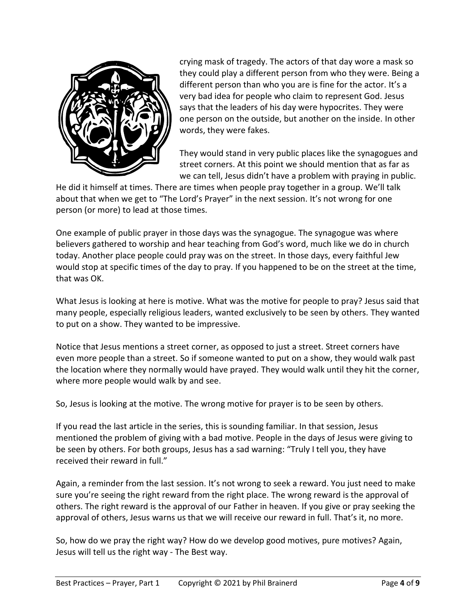

crying mask of tragedy. The actors of that day wore a mask so they could play a different person from who they were. Being a different person than who you are is fine for the actor. It's a very bad idea for people who claim to represent God. Jesus says that the leaders of his day were hypocrites. They were one person on the outside, but another on the inside. In other words, they were fakes.

They would stand in very public places like the synagogues and street corners. At this point we should mention that as far as we can tell, Jesus didn't have a problem with praying in public.

He did it himself at times. There are times when people pray together in a group. We'll talk about that when we get to "The Lord's Prayer" in the next session. It's not wrong for one person (or more) to lead at those times.

One example of public prayer in those days was the synagogue. The synagogue was where believers gathered to worship and hear teaching from God's word, much like we do in church today. Another place people could pray was on the street. In those days, every faithful Jew would stop at specific times of the day to pray. If you happened to be on the street at the time, that was OK.

What Jesus is looking at here is motive. What was the motive for people to pray? Jesus said that many people, especially religious leaders, wanted exclusively to be seen by others. They wanted to put on a show. They wanted to be impressive.

Notice that Jesus mentions a street corner, as opposed to just a street. Street corners have even more people than a street. So if someone wanted to put on a show, they would walk past the location where they normally would have prayed. They would walk until they hit the corner, where more people would walk by and see.

So, Jesus is looking at the motive. The wrong motive for prayer is to be seen by others.

If you read the last article in the series, this is sounding familiar. In that session, Jesus mentioned the problem of giving with a bad motive. People in the days of Jesus were giving to be seen by others. For both groups, Jesus has a sad warning: "Truly I tell you, they have received their reward in full."

Again, a reminder from the last session. It's not wrong to seek a reward. You just need to make sure you're seeing the right reward from the right place. The wrong reward is the approval of others. The right reward is the approval of our Father in heaven. If you give or pray seeking the approval of others, Jesus warns us that we will receive our reward in full. That's it, no more.

So, how do we pray the right way? How do we develop good motives, pure motives? Again, Jesus will tell us the right way - The Best way.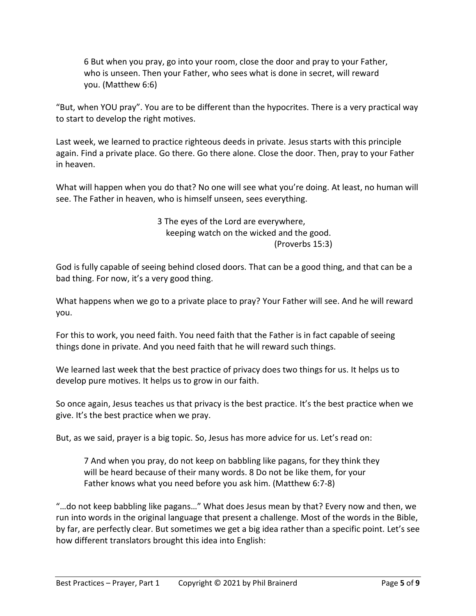6 But when you pray, go into your room, close the door and pray to your Father, who is unseen. Then your Father, who sees what is done in secret, will reward you. (Matthew 6:6)

"But, when YOU pray". You are to be different than the hypocrites. There is a very practical way to start to develop the right motives.

Last week, we learned to practice righteous deeds in private. Jesus starts with this principle again. Find a private place. Go there. Go there alone. Close the door. Then, pray to your Father in heaven.

What will happen when you do that? No one will see what you're doing. At least, no human will see. The Father in heaven, who is himself unseen, sees everything.

> 3 The eyes of the Lord are everywhere, keeping watch on the wicked and the good. (Proverbs 15:3)

God is fully capable of seeing behind closed doors. That can be a good thing, and that can be a bad thing. For now, it's a very good thing.

What happens when we go to a private place to pray? Your Father will see. And he will reward you.

For this to work, you need faith. You need faith that the Father is in fact capable of seeing things done in private. And you need faith that he will reward such things.

We learned last week that the best practice of privacy does two things for us. It helps us to develop pure motives. It helps us to grow in our faith.

So once again, Jesus teaches us that privacy is the best practice. It's the best practice when we give. It's the best practice when we pray.

But, as we said, prayer is a big topic. So, Jesus has more advice for us. Let's read on:

7 And when you pray, do not keep on babbling like pagans, for they think they will be heard because of their many words. 8 Do not be like them, for your Father knows what you need before you ask him. (Matthew 6:7-8)

"…do not keep babbling like pagans…" What does Jesus mean by that? Every now and then, we run into words in the original language that present a challenge. Most of the words in the Bible, by far, are perfectly clear. But sometimes we get a big idea rather than a specific point. Let's see how different translators brought this idea into English: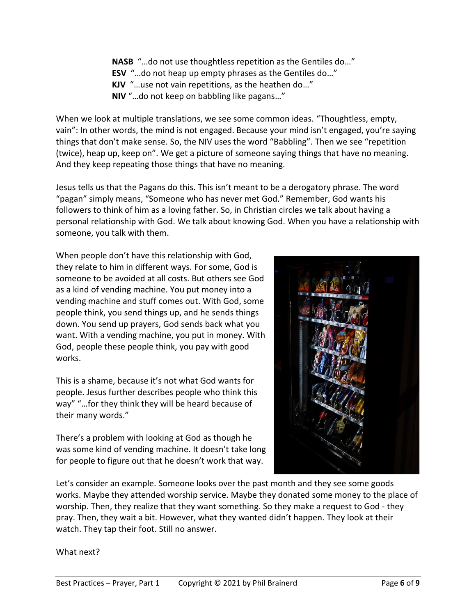**NASB** "…do not use thoughtless repetition as the Gentiles do…" **ESV** "…do not heap up empty phrases as the Gentiles do…" **KJV** "…use not vain repetitions, as the heathen do…" **NIV** "…do not keep on babbling like pagans…"

When we look at multiple translations, we see some common ideas. "Thoughtless, empty, vain": In other words, the mind is not engaged. Because your mind isn't engaged, you're saying things that don't make sense. So, the NIV uses the word "Babbling". Then we see "repetition (twice), heap up, keep on". We get a picture of someone saying things that have no meaning. And they keep repeating those things that have no meaning.

Jesus tells us that the Pagans do this. This isn't meant to be a derogatory phrase. The word "pagan" simply means, "Someone who has never met God." Remember, God wants his followers to think of him as a loving father. So, in Christian circles we talk about having a personal relationship with God. We talk about knowing God. When you have a relationship with someone, you talk with them.

When people don't have this relationship with God, they relate to him in different ways. For some, God is someone to be avoided at all costs. But others see God as a kind of vending machine. You put money into a vending machine and stuff comes out. With God, some people think, you send things up, and he sends things down. You send up prayers, God sends back what you want. With a vending machine, you put in money. With God, people these people think, you pay with good works.

This is a shame, because it's not what God wants for people. Jesus further describes people who think this way" "…for they think they will be heard because of their many words."

There's a problem with looking at God as though he was some kind of vending machine. It doesn't take long for people to figure out that he doesn't work that way.



Let's consider an example. Someone looks over the past month and they see some goods works. Maybe they attended worship service. Maybe they donated some money to the place of worship. Then, they realize that they want something. So they make a request to God - they pray. Then, they wait a bit. However, what they wanted didn't happen. They look at their watch. They tap their foot. Still no answer.

What next?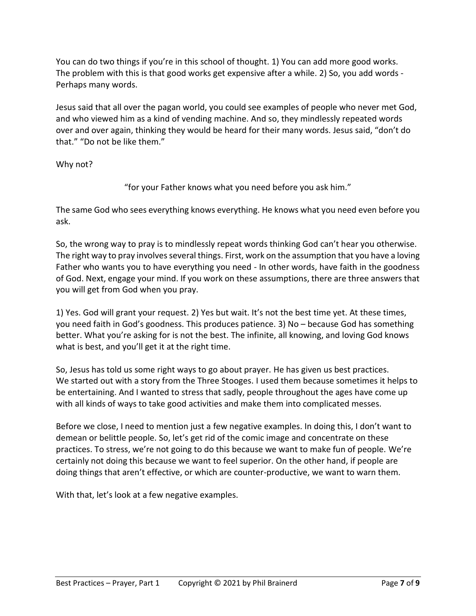You can do two things if you're in this school of thought. 1) You can add more good works. The problem with this is that good works get expensive after a while. 2) So, you add words - Perhaps many words.

Jesus said that all over the pagan world, you could see examples of people who never met God, and who viewed him as a kind of vending machine. And so, they mindlessly repeated words over and over again, thinking they would be heard for their many words. Jesus said, "don't do that." "Do not be like them."

Why not?

"for your Father knows what you need before you ask him."

The same God who sees everything knows everything. He knows what you need even before you ask.

So, the wrong way to pray is to mindlessly repeat words thinking God can't hear you otherwise. The right way to pray involves several things. First, work on the assumption that you have a loving Father who wants you to have everything you need - In other words, have faith in the goodness of God. Next, engage your mind. If you work on these assumptions, there are three answers that you will get from God when you pray.

1) Yes. God will grant your request. 2) Yes but wait. It's not the best time yet. At these times, you need faith in God's goodness. This produces patience. 3) No – because God has something better. What you're asking for is not the best. The infinite, all knowing, and loving God knows what is best, and you'll get it at the right time.

So, Jesus has told us some right ways to go about prayer. He has given us best practices. We started out with a story from the Three Stooges. I used them because sometimes it helps to be entertaining. And I wanted to stress that sadly, people throughout the ages have come up with all kinds of ways to take good activities and make them into complicated messes.

Before we close, I need to mention just a few negative examples. In doing this, I don't want to demean or belittle people. So, let's get rid of the comic image and concentrate on these practices. To stress, we're not going to do this because we want to make fun of people. We're certainly not doing this because we want to feel superior. On the other hand, if people are doing things that aren't effective, or which are counter-productive, we want to warn them.

With that, let's look at a few negative examples.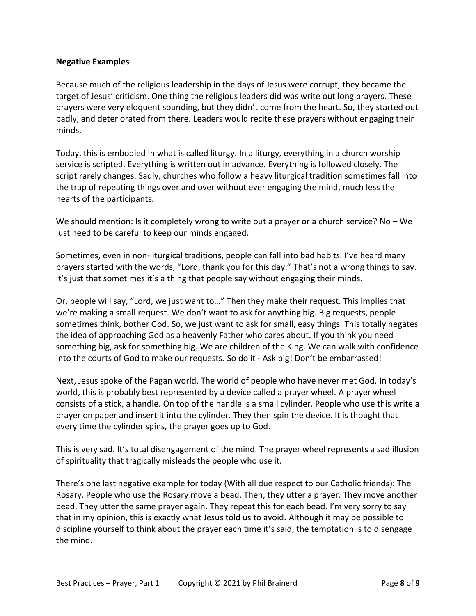### **Negative Examples**

Because much of the religious leadership in the days of Jesus were corrupt, they became the target of Jesus' criticism. One thing the religious leaders did was write out long prayers. These prayers were very eloquent sounding, but they didn't come from the heart. So, they started out badly, and deteriorated from there. Leaders would recite these prayers without engaging their minds.

Today, this is embodied in what is called liturgy. In a liturgy, everything in a church worship service is scripted. Everything is written out in advance. Everything is followed closely. The script rarely changes. Sadly, churches who follow a heavy liturgical tradition sometimes fall into the trap of repeating things over and over without ever engaging the mind, much less the hearts of the participants.

We should mention: Is it completely wrong to write out a prayer or a church service? No - We just need to be careful to keep our minds engaged.

Sometimes, even in non-liturgical traditions, people can fall into bad habits. I've heard many prayers started with the words, "Lord, thank you for this day." That's not a wrong things to say. It's just that sometimes it's a thing that people say without engaging their minds.

Or, people will say, "Lord, we just want to…" Then they make their request. This implies that we're making a small request. We don't want to ask for anything big. Big requests, people sometimes think, bother God. So, we just want to ask for small, easy things. This totally negates the idea of approaching God as a heavenly Father who cares about. If you think you need something big, ask for something big. We are children of the King. We can walk with confidence into the courts of God to make our requests. So do it - Ask big! Don't be embarrassed!

Next, Jesus spoke of the Pagan world. The world of people who have never met God. In today's world, this is probably best represented by a device called a prayer wheel. A prayer wheel consists of a stick, a handle. On top of the handle is a small cylinder. People who use this write a prayer on paper and insert it into the cylinder. They then spin the device. It is thought that every time the cylinder spins, the prayer goes up to God.

This is very sad. It's total disengagement of the mind. The prayer wheel represents a sad illusion of spirituality that tragically misleads the people who use it.

There's one last negative example for today (With all due respect to our Catholic friends): The Rosary. People who use the Rosary move a bead. Then, they utter a prayer. They move another bead. They utter the same prayer again. They repeat this for each bead. I'm very sorry to say that in my opinion, this is exactly what Jesus told us to avoid. Although it may be possible to discipline yourself to think about the prayer each time it's said, the temptation is to disengage the mind.